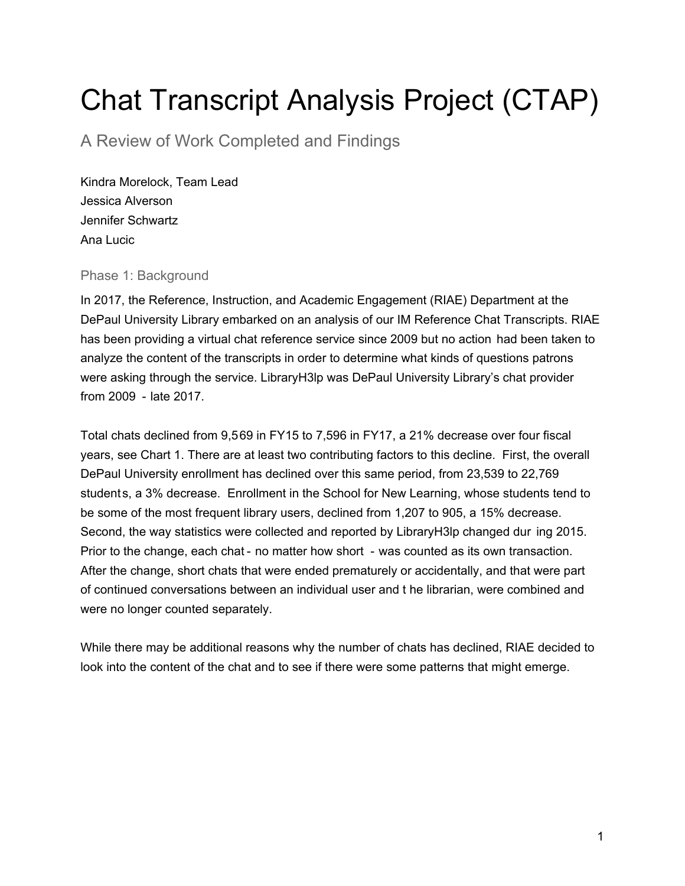# Chat Transcript Analysis Project (CTAP)

A Review of Work Completed and Findings

Kindra Morelock, Team Lead Jessica Alverson Jennifer Schwartz Ana Lucic

# Phase 1: Background

In 2017, the Reference, Instruction, and Academic Engagement (RIAE) Department at the DePaul University Library embarked on an analysis of our IM Reference Chat Transcripts. RIAE has been providing a virtual chat reference service since 2009 but no action had been taken to analyze the content of the transcripts in order to determine what kinds of questions patrons were asking through the service. LibraryH3lp was DePaul University Library's chat provider from 2009 - late 2017.

Total chats declined from 9,569 in FY15 to 7,596 in FY17, a 21% decrease over four fiscal years, see Chart 1. There are at least two contributing factors to this decline. First, the overall DePaul University enrollment has declined over this same period, from 23,539 to 22,769 students, a 3% decrease. Enrollment in the School for New Learning, whose students tend to be some of the most frequent library users, declined from 1,207 to 905, a 15% decrease. Second, the way statistics were collected and reported by LibraryH3lp changed dur ing 2015. Prior to the change, each chat - no matter how short - was counted as its own transaction. After the change, short chats that were ended prematurely or accidentally, and that were part of continued conversations between an individual user and t he librarian, were combined and were no longer counted separately.

While there may be additional reasons why the number of chats has declined, RIAE decided to look into the content of the chat and to see if there were some patterns that might emerge.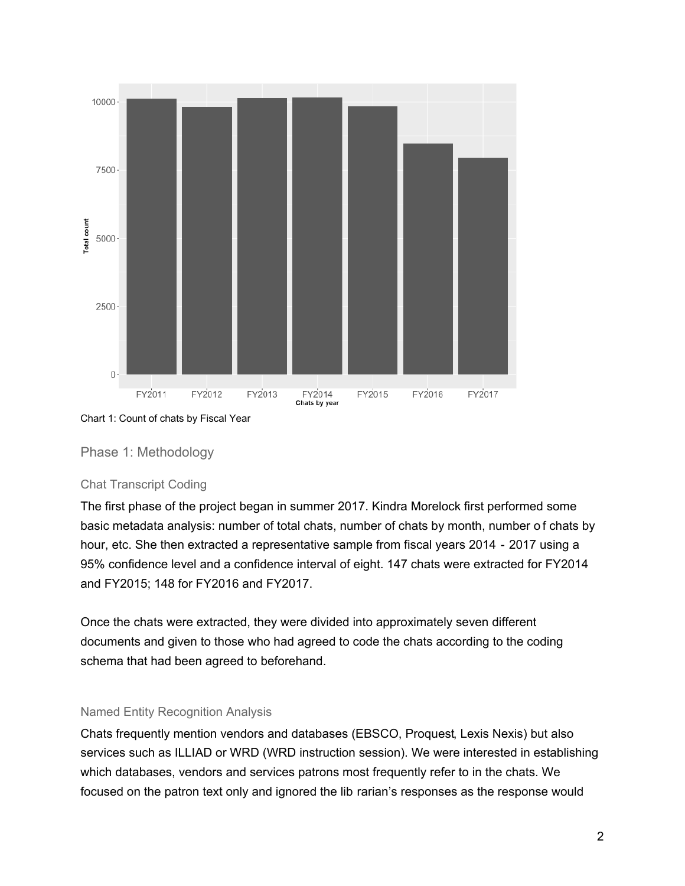

Chart 1: Count of chats by Fiscal Year

# Phase 1: Methodology

#### Chat Transcript Coding

The first phase of the project began in summer 2017. Kindra Morelock first performed some basic metadata analysis: number of total chats, number of chats by month, number o f chats by hour, etc. She then extracted a representative sample from fiscal years 2014 - 2017 using a 95% confidence level and a confidence interval of eight. 147 chats were extracted for FY2014 and FY2015; 148 for FY2016 and FY2017.

Once the chats were extracted, they were divided into approximately seven different documents and given to those who had agreed to code the chats according to the coding schema that had been agreed to beforehand.

#### Named Entity Recognition Analysis

Chats frequently mention vendors and databases (EBSCO, Proquest, Lexis Nexis) but also services such as ILLIAD or WRD (WRD instruction session). We were interested in establishing which databases, vendors and services patrons most frequently refer to in the chats. We focused on the patron text only and ignored the lib rarian's responses as the response would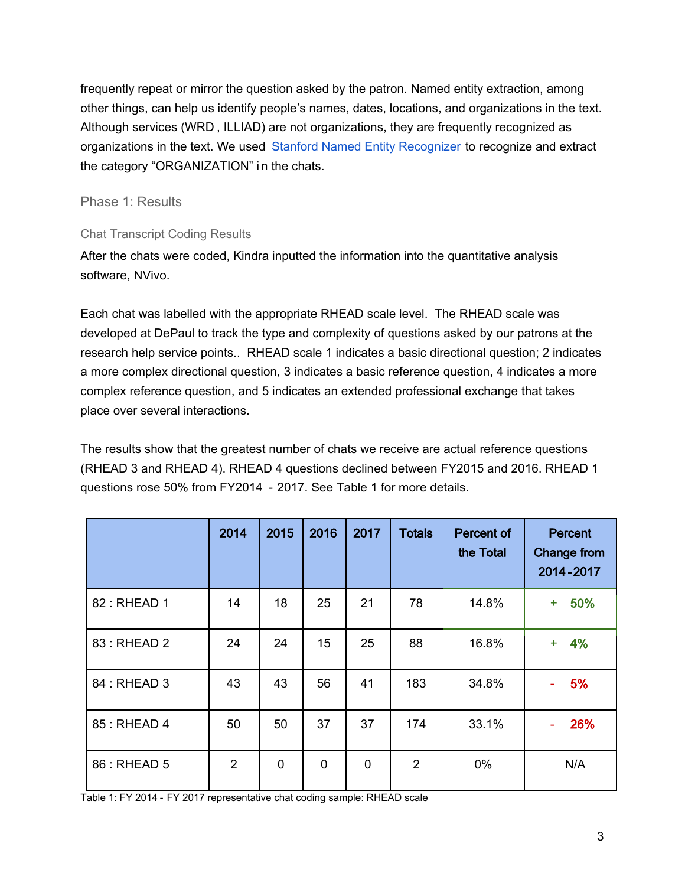frequently repeat or mirror the question asked by the patron. Named entity extraction, among other things, can help us identify people's names, dates, locations, and organizations in the text. Although services (WRD , ILLIAD) are not organizations, they are frequently recognized as organizations in the text. We used [Stanford Named Entity Recognizer t](https://nlp.stanford.edu/software/CRF-NER.shtml)o recognize and extract the category "ORGANIZATION" in the chats.

# Phase 1: Results

# Chat Transcript Coding Results

After the chats were coded, Kindra inputted the information into the quantitative analysis software, NVivo.

Each chat was labelled with the appropriate RHEAD scale level. The RHEAD scale was developed at DePaul to track the type and complexity of questions asked by our patrons at the research help service points.. RHEAD scale 1 indicates a basic directional question; 2 indicates a more complex directional question, 3 indicates a basic reference question, 4 indicates a more complex reference question, and 5 indicates an extended professional exchange that takes place over several interactions.

The results show that the greatest number of chats we receive are actual reference questions (RHEAD 3 and RHEAD 4). RHEAD 4 questions declined between FY2015 and 2016. RHEAD 1 questions rose 50% from FY2014 - 2017. See Table 1 for more details.

|              | 2014           | 2015           | 2016        | 2017        | <b>Totals</b>  | <b>Percent of</b><br>the Total | <b>Percent</b><br><b>Change from</b><br>2014-2017 |
|--------------|----------------|----------------|-------------|-------------|----------------|--------------------------------|---------------------------------------------------|
| 82: RHEAD 1  | 14             | 18             | 25          | 21          | 78             | 14.8%                          | 50%<br>÷                                          |
| 83 : RHEAD 2 | 24             | 24             | 15          | 25          | 88             | 16.8%                          | 4%<br>$\ddot{}$                                   |
| 84 : RHEAD 3 | 43             | 43             | 56          | 41          | 183            | 34.8%                          | 5%                                                |
| 85 : RHEAD 4 | 50             | 50             | 37          | 37          | 174            | 33.1%                          | 26%                                               |
| 86 : RHEAD 5 | $\overline{2}$ | $\overline{0}$ | $\mathbf 0$ | $\mathbf 0$ | $\overline{2}$ | 0%                             | N/A                                               |

Table 1: FY 2014 - FY 2017 representative chat coding sample: RHEAD scale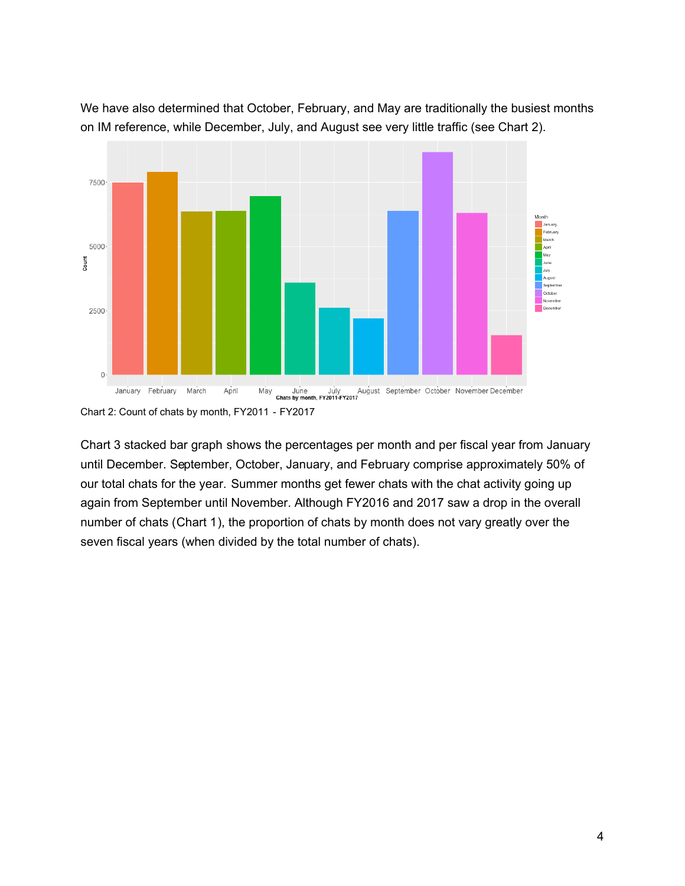

We have also determined that October, February, and May are traditionally the busiest months on IM reference, while December, July, and August see very little traffic (see Chart 2).

Chart 3 stacked bar graph shows the percentages per month and per fiscal year from January until December. September, October, January, and February comprise approximately 50% of our total chats for the year. Summer months get fewer chats with the chat activity going up again from September until November. Although FY2016 and 2017 saw a drop in the overall number of chats (Chart 1), the proportion of chats by month does not vary greatly over the seven fiscal years (when divided by the total number of chats).

Chart 2: Count of chats by month, FY2011 - FY2017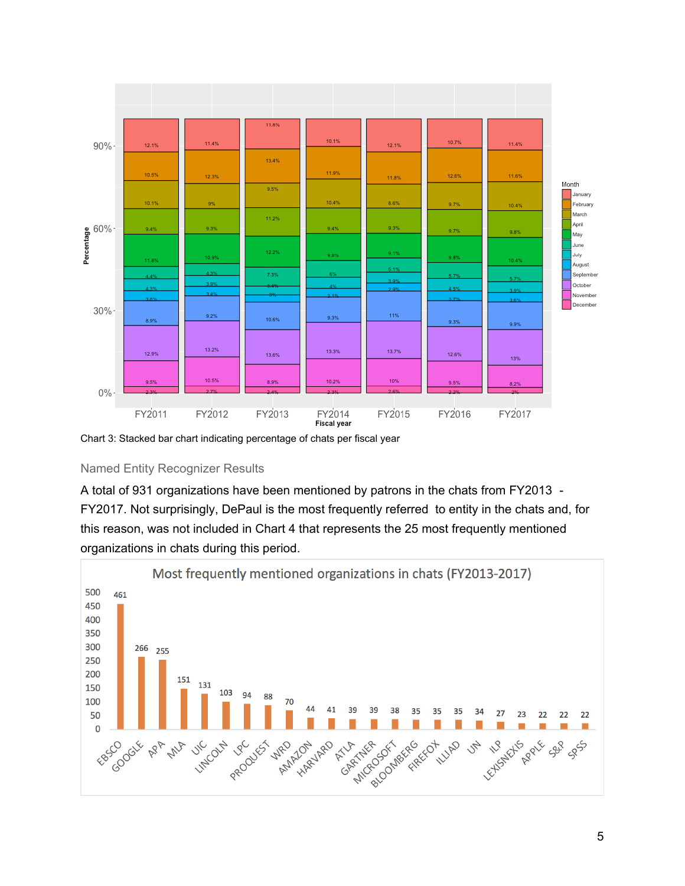

Chart 3: Stacked bar chart indicating percentage of chats per fiscal year

#### Named Entity Recognizer Results

A total of 931 organizations have been mentioned by patrons in the chats from FY2013 - FY2017. Not surprisingly, DePaul is the most frequently referred to entity in the chats and, for this reason, was not included in Chart 4 that represents the 25 most frequently mentioned organizations in chats during this period.

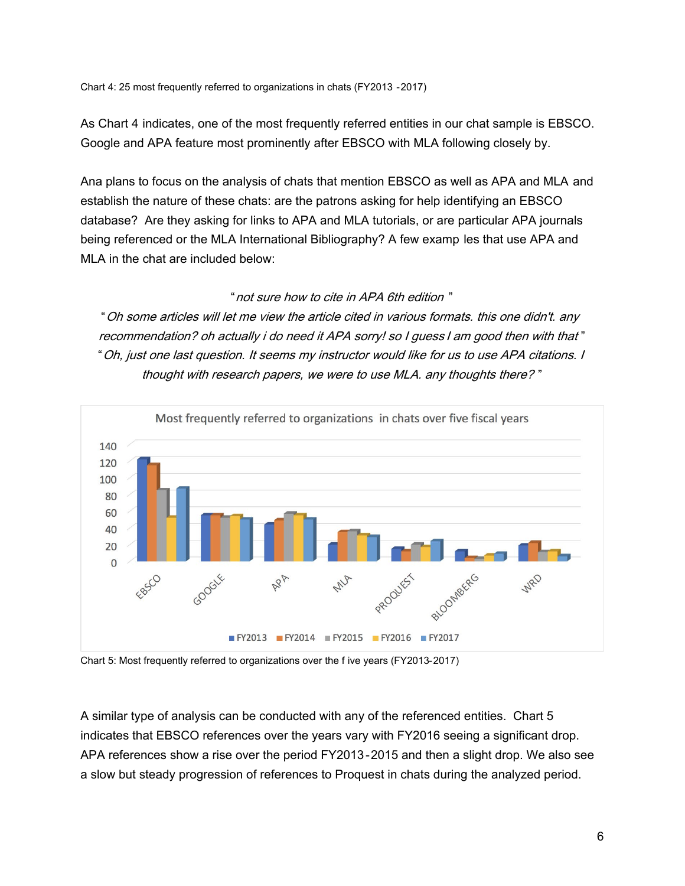As Chart 4 indicates, one of the most frequently referred entities in our chat sample is EBSCO. Google and APA feature most prominently after EBSCO with MLA following closely by.

Ana plans to focus on the analysis of chats that mention EBSCO as well as APA and MLA and establish the nature of these chats: are the patrons asking for help identifying an EBSCO database? Are they asking for links to APA and MLA tutorials, or are particular APA journals being referenced or the MLA International Bibliography? A few examp les that use APA and MLA in the chat are included below:

#### "not sure how to cite in APA 6th edition "

"Oh some articles will let me view the article cited in various formats. this one didn't. any recommendation? oh actually i do need it APA sorry! so I guess I am good then with that " "Oh, just one last question. It seems my instructor would like for us to use APA citations. I thought with research papers, we were to use MLA. any thoughts there? "



Chart 5: Most frequently referred to organizations over the f ive years (FY2013-2017)

A similar type of analysis can be conducted with any of the referenced entities. Chart 5 indicates that EBSCO references over the years vary with FY2016 seeing a significant drop. APA references show a rise over the period FY2013 -2015 and then a slight drop. We also see a slow but steady progression of references to Proquest in chats during the analyzed period.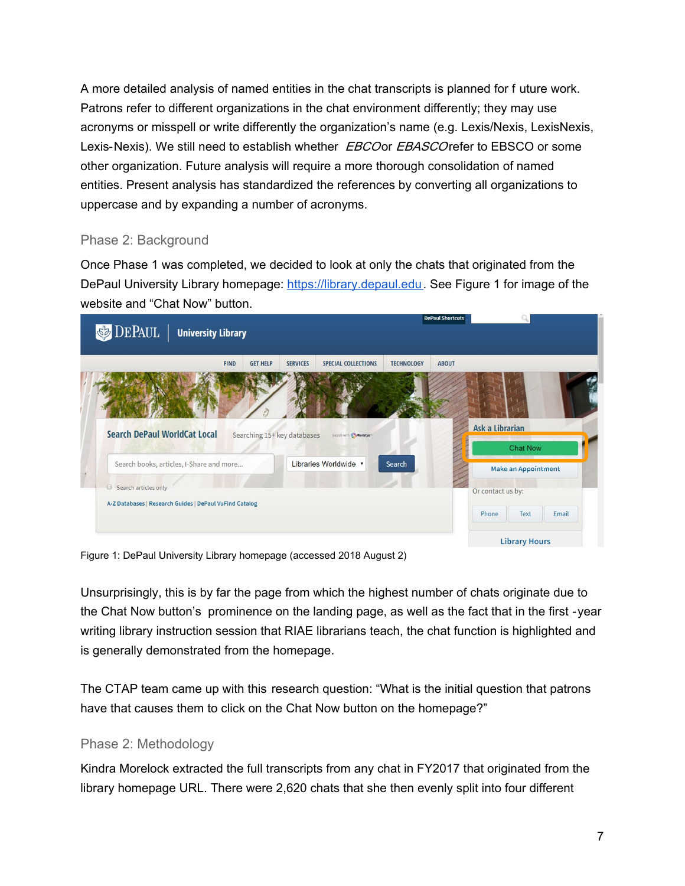A more detailed analysis of named entities in the chat transcripts is planned for f uture work. Patrons refer to different organizations in the chat environment differently; they may use acronyms or misspell or write differently the organization's name (e.g. Lexis/Nexis, LexisNexis, Lexis-Nexis). We still need to establish whether *EBCO* or *EBASCO* refer to EBSCO or some other organization. Future analysis will require a more thorough consolidation of named entities. Present analysis has standardized the references by converting all organizations to uppercase and by expanding a number of acronyms.

# Phase 2: Background

Once Phase 1 was completed, we decided to look at only the chats that originated from the DePaul University Library homepage: [https://library.depaul.edu.](https://library.depaul.edu/) See Figure 1 for image of the website and "Chat Now" button.

| <b>DEPAUL</b><br><b>University Library</b>                                 |                                    |                                |                   | <b>DePaul Shortcuts</b>                         |
|----------------------------------------------------------------------------|------------------------------------|--------------------------------|-------------------|-------------------------------------------------|
| <b>FIND</b>                                                                | <b>GET HELP</b><br><b>SERVICES</b> | SPECIAL COLLECTIONS            | <b>TECHNOLOGY</b> | <b>ABOUT</b>                                    |
| <b>Search DePaul WorldCat Local</b>                                        | Searching 15+ key databases        | Search with <b>Co WorldCat</b> |                   | <b>Ask a Librarian</b>                          |
|                                                                            |                                    |                                |                   | <b>Chat Now</b>                                 |
| Search books, articles, I-Share and more<br>$\Box$<br>Search articles only |                                    | Libraries Worldwide v          | Search            | <b>Make an Appointment</b><br>Or contact us by: |

Figure 1: DePaul University Library homepage (accessed 2018 August 2)

Unsurprisingly, this is by far the page from which the highest number of chats originate due to the Chat Now button's prominence on the landing page, as well as the fact that in the first -year writing library instruction session that RIAE librarians teach, the chat function is highlighted and is generally demonstrated from the homepage.

The CTAP team came up with this research question: "What is the initial question that patrons have that causes them to click on the Chat Now button on the homepage?"

# Phase 2: Methodology

Kindra Morelock extracted the full transcripts from any chat in FY2017 that originated from the library homepage URL. There were 2,620 chats that she then evenly split into four different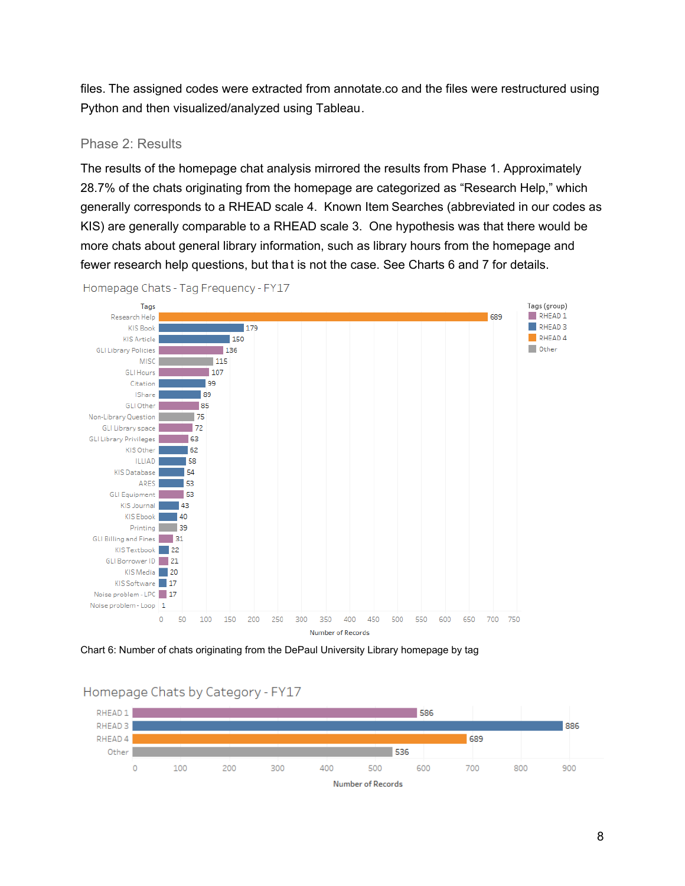files. The assigned codes were extracted from annotate.co and the files were restructured using Python and then visualized/analyzed using Tableau.

#### Phase 2: Results

The results of the homepage chat analysis mirrored the results from Phase 1. Approximately 28.7% of the chats originating from the homepage are categorized as "Research Help," which generally corresponds to a RHEAD scale 4. Known Item Searches (abbreviated in our codes as KIS) are generally comparable to a RHEAD scale 3. One hypothesis was that there would be more chats about general library information, such as library hours from the homepage and fewer research help questions, but tha t is not the case. See Charts 6 and 7 for details.



Homepage Chats - Tag Frequency - FY17

Chart 6: Number of chats originating from the DePaul University Library homepage by tag



# Homepage Chats by Category - FY17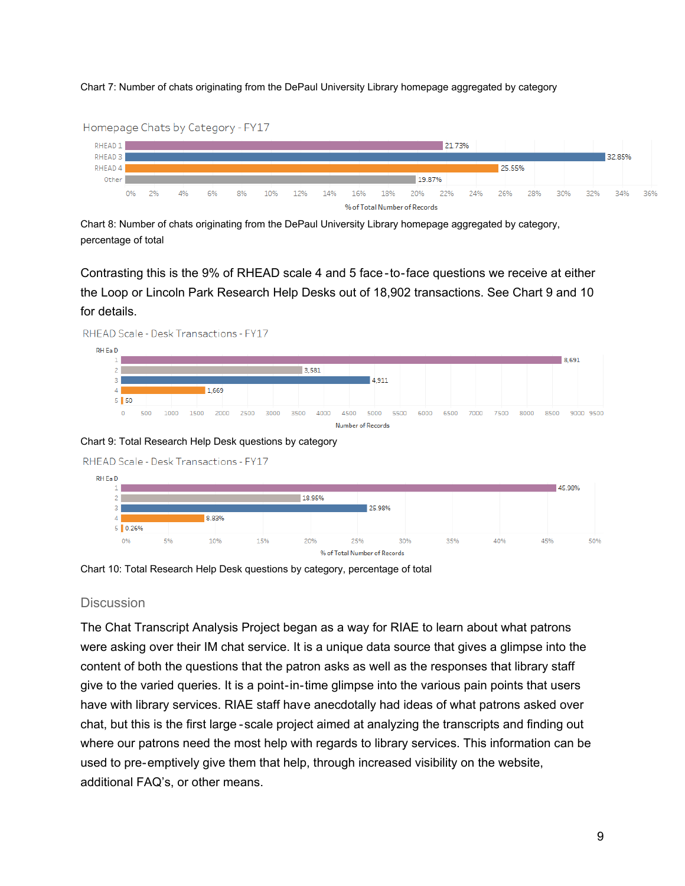Chart 7: Number of chats originating from the DePaul University Library homepage aggregated by category



Chart 8: Number of chats originating from the DePaul University Library homepage aggregated by category, percentage of total

Contrasting this is the 9% of RHEAD scale 4 and 5 face -to-face questions we receive at either the Loop or Lincoln Park Research Help Desks out of 18,902 transactions. See Chart 9 and 10 for details.



Chart 9: Total Research Help Desk questions by category





Chart 10: Total Research Help Desk questions by category, percentage of total

#### **Discussion**

The Chat Transcript Analysis Project began as a way for RIAE to learn about what patrons were asking over their IM chat service. It is a unique data source that gives a glimpse into the content of both the questions that the patron asks as well as the responses that library staff give to the varied queries. It is a point-in-time glimpse into the various pain points that users have with library services. RIAE staff have anecdotally had ideas of what patrons asked over chat, but this is the first large -scale project aimed at analyzing the transcripts and finding out where our patrons need the most help with regards to library services. This information can be used to pre-emptively give them that help, through increased visibility on the website, additional FAQ's, or other means.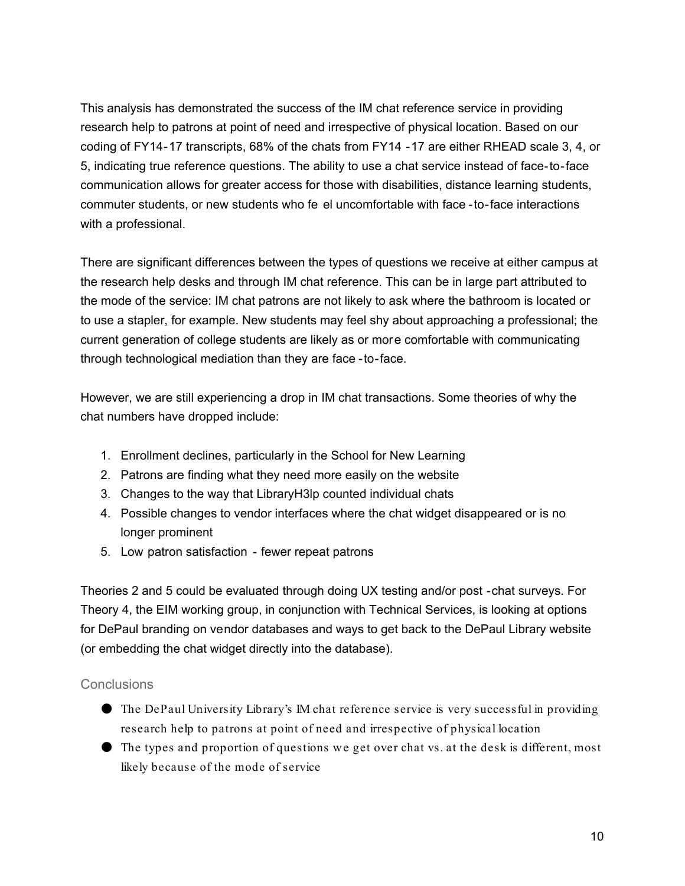This analysis has demonstrated the success of the IM chat reference service in providing research help to patrons at point of need and irrespective of physical location. Based on our coding of FY14-17 transcripts, 68% of the chats from FY14 -17 are either RHEAD scale 3, 4, or 5, indicating true reference questions. The ability to use a chat service instead of face-to-face communication allows for greater access for those with disabilities, distance learning students, commuter students, or new students who fe el uncomfortable with face -to-face interactions with a professional.

There are significant differences between the types of questions we receive at either campus at the research help desks and through IM chat reference. This can be in large part attributed to the mode of the service: IM chat patrons are not likely to ask where the bathroom is located or to use a stapler, for example. New students may feel shy about approaching a professional; the current generation of college students are likely as or more comfortable with communicating through technological mediation than they are face -to-face.

However, we are still experiencing a drop in IM chat transactions. Some theories of why the chat numbers have dropped include:

- 1. Enrollment declines, particularly in the School for New Learning
- 2. Patrons are finding what they need more easily on the website
- 3. Changes to the way that LibraryH3lp counted individual chats
- 4. Possible changes to vendor interfaces where the chat widget disappeared or is no longer prominent
- 5. Low patron satisfaction fewer repeat patrons

Theories 2 and 5 could be evaluated through doing UX testing and/or post -chat surveys. For Theory 4, the EIM working group, in conjunction with Technical Services, is looking at options for DePaul branding on vendor databases and ways to get back to the DePaul Library website (or embedding the chat widget directly into the database).

#### **Conclusions**

- The DePaul University Library's IM chat reference service is very successful in providing research help to patrons at point of need and irrespective of physical location
- The types and proportion of questions we get over chat vs. at the desk is different, most likely because of the mode of service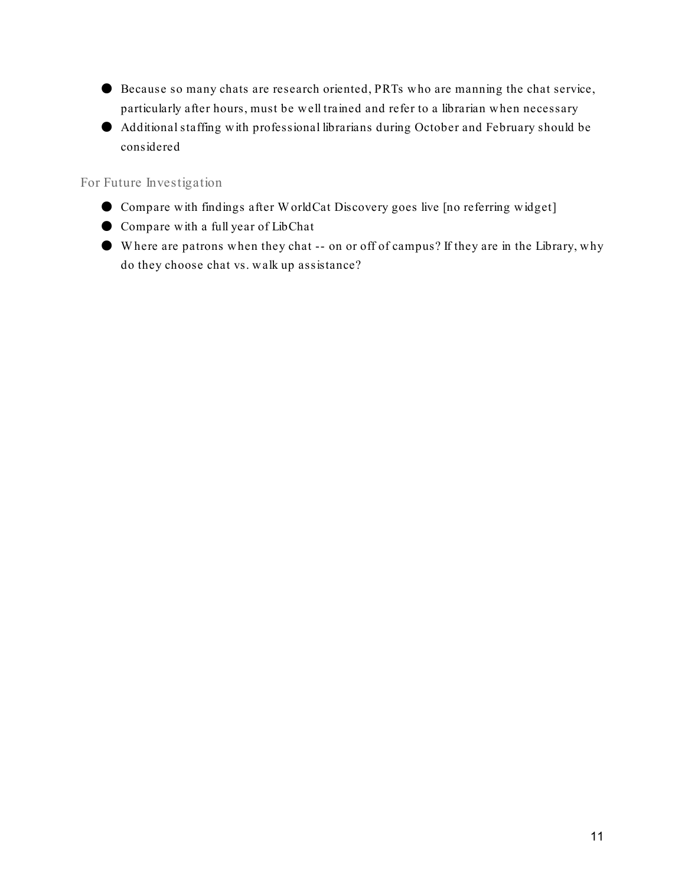- Because so many chats are research oriented, PRTs who are manning the chat service, particularly after hours, must be well trained and refer to a librarian when necessary
- Additional staffing w ith professional librarians during October and February should be considered

For Future Investigation

- Compare with findings after W orldCat Discovery goes live [no referring widget]
- Compare with a full year of LibChat
- W here are patrons when they chat -- on or off of campus? If they are in the Library, why do they choose chat vs. walk up assistance?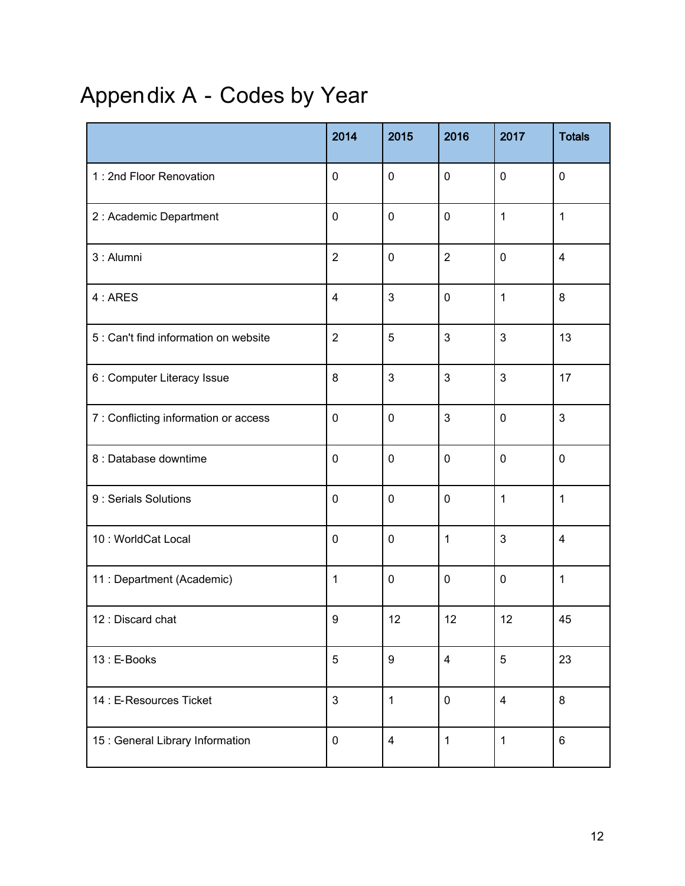# Appendix A - Codes by Year

|                                       | 2014           | 2015             | 2016           | 2017         | <b>Totals</b>           |
|---------------------------------------|----------------|------------------|----------------|--------------|-------------------------|
| 1 : 2nd Floor Renovation              | $\pmb{0}$      | $\mathbf 0$      | $\mathbf 0$    | $\mathbf 0$  | $\boldsymbol{0}$        |
| 2 : Academic Department               | $\pmb{0}$      | $\mathbf 0$      | $\mathbf 0$    | $\mathbf{1}$ | 1                       |
| 3 : Alumni                            | $\overline{2}$ | $\mathbf 0$      | $\overline{2}$ | $\mathbf 0$  | $\overline{\mathbf{4}}$ |
| 4: ARES                               | $\overline{4}$ | $\mathbf{3}$     | $\mathbf 0$    | 1            | $\bf 8$                 |
| 5 : Can't find information on website | $\overline{2}$ | $\sqrt{5}$       | 3              | $\mathbf{3}$ | 13                      |
| 6 : Computer Literacy Issue           | $\bf 8$        | $\mathbf{3}$     | 3              | $\mathbf{3}$ | 17                      |
| 7 : Conflicting information or access | $\pmb{0}$      | $\mathbf 0$      | 3              | $\mathbf 0$  | $\mathbf{3}$            |
| 8 : Database downtime                 | $\pmb{0}$      | $\mathbf 0$      | $\mathbf 0$    | $\mathbf 0$  | $\pmb{0}$               |
| 9 : Serials Solutions                 | $\pmb{0}$      | $\mathbf 0$      | $\mathbf 0$    | 1            | 1                       |
| 10: WorldCat Local                    | $\pmb{0}$      | $\mathbf 0$      | 1              | $\mathbf{3}$ | $\overline{\mathbf{4}}$ |
| 11 : Department (Academic)            | $\mathbf{1}$   | $\pmb{0}$        | $\mathbf 0$    | $\mathbf 0$  | 1                       |
| 12 : Discard chat                     | 9              | 12               | 12             | 12           | 45                      |
| 13 : E-Books                          | $\overline{5}$ | $\boldsymbol{9}$ | $\overline{4}$ | 5            | 23                      |
| 14 : E-Resources Ticket               | $\mathbf{3}$   | $\mathbf{1}$     | $\mathbf 0$    | 4            | $\bf 8$                 |
| 15 : General Library Information      | $\pmb{0}$      | $\overline{4}$   | $\mathbf{1}$   | $\mathbf 1$  | $\,6\,$                 |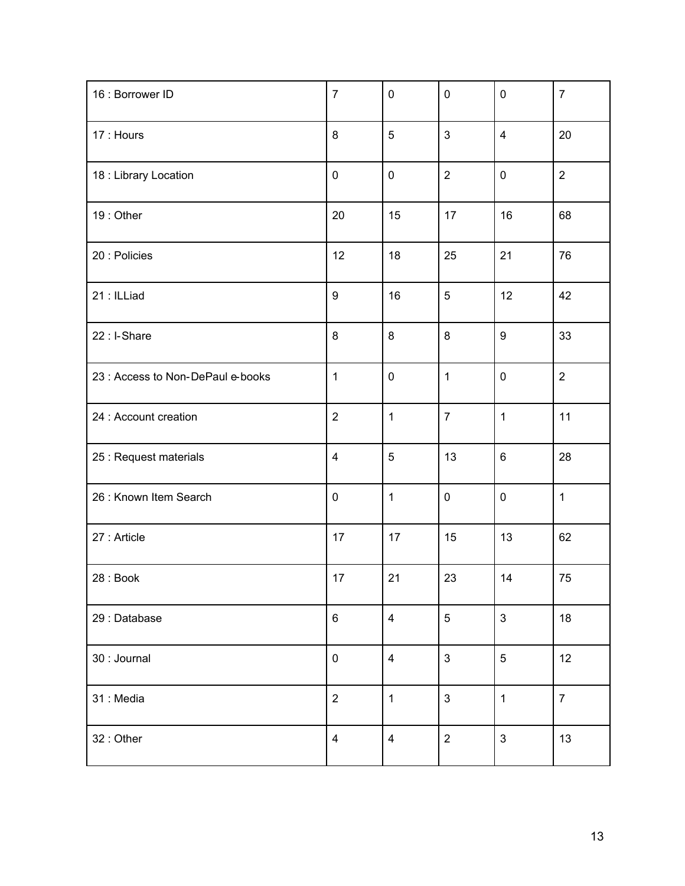| 16 : Borrower ID                  | $\overline{7}$   | $\mathbf 0$    | $\mathbf 0$    | $\pmb{0}$        | $\overline{7}$ |
|-----------------------------------|------------------|----------------|----------------|------------------|----------------|
| 17 : Hours                        | 8                | $\overline{5}$ | $\mathbf{3}$   | $\overline{4}$   | 20             |
| 18 : Library Location             | $\boldsymbol{0}$ | $\pmb{0}$      | $\overline{2}$ | $\pmb{0}$        | $\overline{2}$ |
| 19: Other                         | $20\,$           | 15             | 17             | 16               | 68             |
| 20 : Policies                     | 12               | 18             | 25             | 21               | 76             |
| 21: ILLiad                        | $\boldsymbol{9}$ | 16             | $\sqrt{5}$     | 12               | 42             |
| 22 : I-Share                      | 8                | 8              | 8              | $\boldsymbol{9}$ | 33             |
| 23 : Access to Non-DePaul e-books | $\mathbf 1$      | $\pmb{0}$      | $\mathbf 1$    | $\pmb{0}$        | $\overline{2}$ |
| 24 : Account creation             | $\overline{2}$   | $\mathbf{1}$   | $\overline{7}$ | $\mathbf{1}$     | 11             |
| 25 : Request materials            | $\overline{4}$   | $\overline{5}$ | 13             | $\,6\,$          | 28             |
| 26 : Known Item Search            | $\boldsymbol{0}$ | $\mathbf{1}$   | $\pmb{0}$      | $\pmb{0}$        | $\mathbf{1}$   |
| 27 : Article                      | 17               | 17             | 15             | 13               | 62             |
| 28 : Book                         | 17               | 21             | 23             | 14               | 75             |
| 29 : Database                     | $\,6\,$          | $\overline{4}$ | $\overline{5}$ | $\mathfrak{S}$   | 18             |
| 30 : Journal                      | $\pmb{0}$        | $\overline{4}$ | $\mathbf{3}$   | $\sqrt{5}$       | 12             |
| 31 : Media                        | $\overline{2}$   | $\mathbf{1}$   | 3              | $\mathbf{1}$     | $\overline{7}$ |
| 32: Other                         | $\overline{4}$   | $\overline{4}$ | $\overline{2}$ | $\mathbf{3}$     | 13             |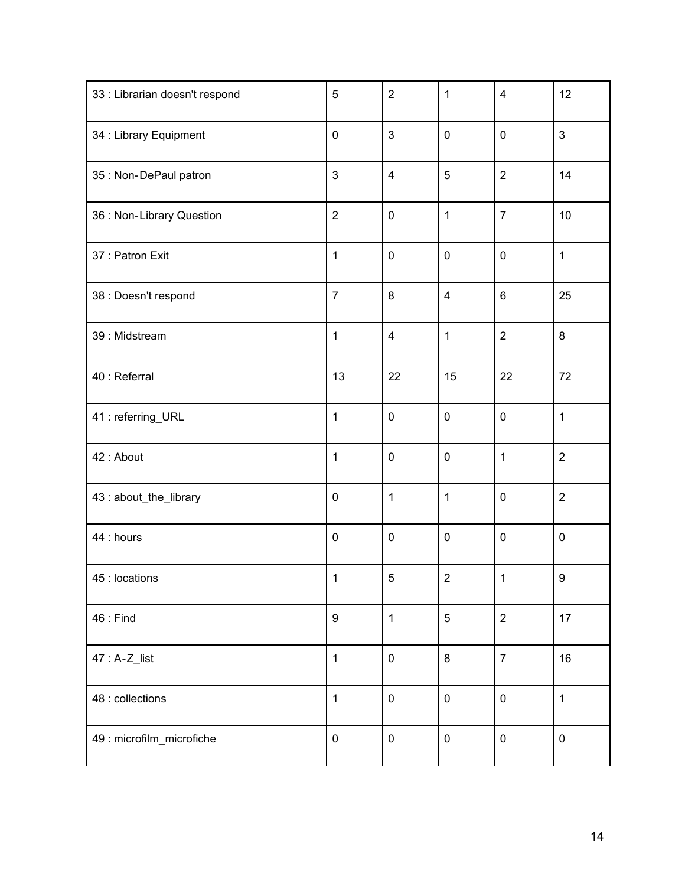| 33 : Librarian doesn't respond | 5              | $\overline{2}$          | $\mathbf{1}$            | $\overline{\mathbf{4}}$ | 12               |
|--------------------------------|----------------|-------------------------|-------------------------|-------------------------|------------------|
| 34 : Library Equipment         | $\pmb{0}$      | 3                       | $\mathbf 0$             | $\pmb{0}$               | $\mathfrak{S}$   |
| 35 : Non-DePaul patron         | 3              | $\overline{\mathbf{4}}$ | 5                       | $\overline{2}$          | 14               |
| 36 : Non-Library Question      | $\overline{2}$ | $\pmb{0}$               | $\mathbf{1}$            | $\overline{7}$          | 10               |
| 37 : Patron Exit               | $\mathbf{1}$   | $\pmb{0}$               | $\pmb{0}$               | $\pmb{0}$               | $\mathbf{1}$     |
| 38 : Doesn't respond           | $\overline{7}$ | 8                       | $\overline{\mathbf{4}}$ | $\,6\,$                 | 25               |
| 39 : Midstream                 | $\mathbf{1}$   | $\overline{\mathbf{4}}$ | $\mathbf{1}$            | $\overline{2}$          | 8                |
| 40 : Referral                  | 13             | 22                      | 15                      | 22                      | 72               |
| 41 : referring_URL             | $\mathbf{1}$   | $\pmb{0}$               | $\pmb{0}$               | $\pmb{0}$               | $\mathbf{1}$     |
| 42 : About                     | $\mathbf{1}$   | $\pmb{0}$               | $\pmb{0}$               | $\mathbf{1}$            | $\overline{2}$   |
| 43 : about_the_library         | $\pmb{0}$      | $\mathbf{1}$            | $\mathbf{1}$            | $\pmb{0}$               | $\overline{2}$   |
| 44 : hours                     | $\pmb{0}$      | $\pmb{0}$               | $\pmb{0}$               | $\pmb{0}$               | $\pmb{0}$        |
| 45 : locations                 | $\mathbf{1}$   | $\sqrt{5}$              | $\overline{2}$          | 1                       | $\boldsymbol{9}$ |
| $46:$ Find                     | 9              | $\mathbf{1}$            | 5                       | $\overline{2}$          | 17               |
| $47: A-Z_{list}$               | $\mathbf{1}$   | $\mathbf 0$             | 8                       | $\overline{7}$          | 16               |
| 48 : collections               | $\mathbf{1}$   | $\mathbf 0$             | $\mathbf 0$             | $\mathbf 0$             | $\mathbf{1}$     |
| 49 : microfilm_microfiche      | $\pmb{0}$      | $\pmb{0}$               | $\pmb{0}$               | $\pmb{0}$               | $\pmb{0}$        |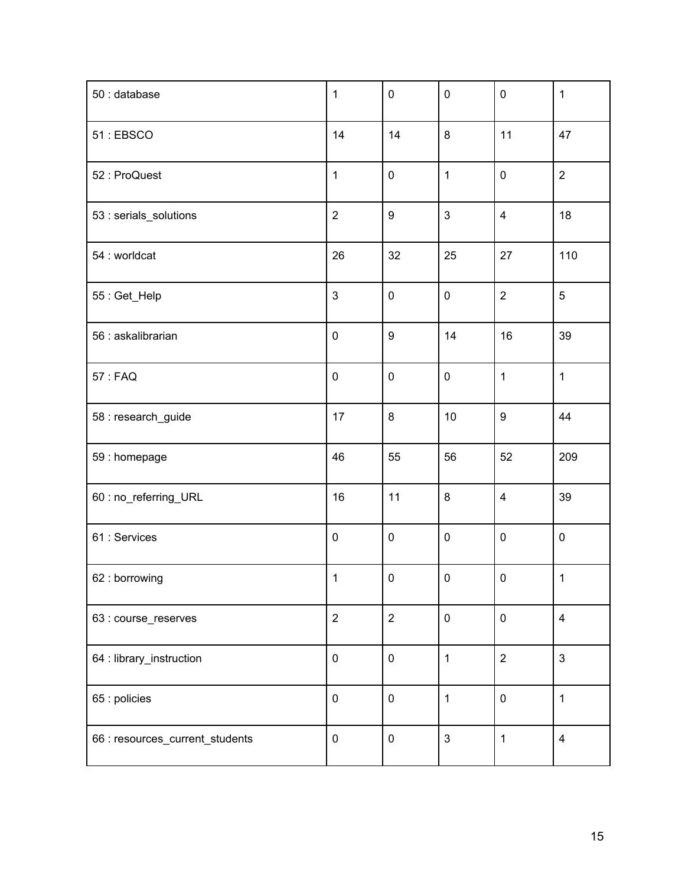| 50 : database                   | $\mathbf{1}$   | $\pmb{0}$        | $\pmb{0}$      | $\pmb{0}$               | $\mathbf{1}$   |
|---------------------------------|----------------|------------------|----------------|-------------------------|----------------|
| 51: EBSCO                       | 14             | 14               | 8              | 11                      | 47             |
| 52 : ProQuest                   | $\mathbf 1$    | $\pmb{0}$        | $\mathbf 1$    | $\pmb{0}$               | $\overline{2}$ |
| 53 : serials_solutions          | $\overline{2}$ | $\boldsymbol{9}$ | 3              | $\overline{4}$          | 18             |
| 54 : worldcat                   | 26             | 32               | 25             | 27                      | 110            |
| 55 : Get_Help                   | $\mathfrak{3}$ | $\pmb{0}$        | $\pmb{0}$      | $\overline{2}$          | 5              |
| 56 : askalibrarian              | $\pmb{0}$      | $\boldsymbol{9}$ | 14             | 16                      | 39             |
| 57 : FAQ                        | $\pmb{0}$      | $\pmb{0}$        | $\pmb{0}$      | $\mathbf 1$             | $\mathbf{1}$   |
| 58 : research_guide             | 17             | $\bf 8$          | 10             | $\boldsymbol{9}$        | 44             |
| 59 : homepage                   | 46             | 55               | 56             | 52                      | 209            |
| 60: no_referring_URL            | 16             | 11               | 8              | $\overline{\mathbf{4}}$ | 39             |
| 61 : Services                   | $\pmb{0}$      | $\pmb{0}$        | $\pmb{0}$      | $\pmb{0}$               | $\pmb{0}$      |
| 62 : borrowing                  | $\mathbf{1}$   | $\mathbf 0$      | $\mathbf 0$    | $\mathbf 0$             | $\mathbf{1}$   |
| 63 : course_reserves            | $\overline{2}$ | $\overline{2}$   | $\pmb{0}$      | $\pmb{0}$               | $\overline{4}$ |
| 64 : library_instruction        | $\pmb{0}$      | $\pmb{0}$        | $\mathbf 1$    | $\overline{2}$          | 3              |
| 65 : policies                   | $\pmb{0}$      | $\pmb{0}$        | $\mathbf 1$    | $\pmb{0}$               | $\mathbf{1}$   |
| 66 : resources_current_students | $\pmb{0}$      | $\pmb{0}$        | $\mathfrak{S}$ | $\mathbf 1$             | $\overline{4}$ |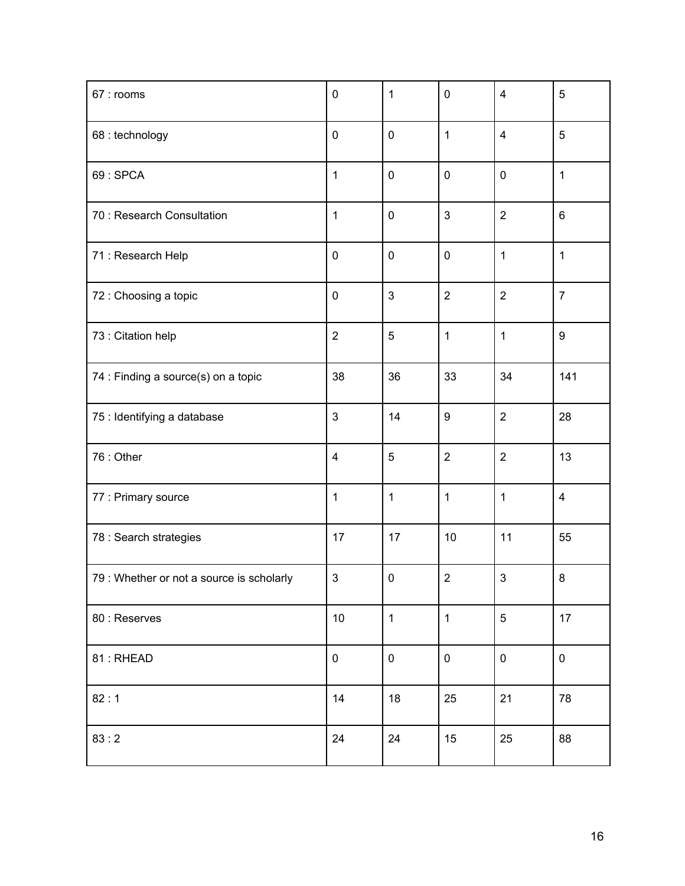| 67 : rooms                                | $\mathbf 0$             | $\mathbf{1}$   | $\pmb{0}$      | $\overline{4}$ | 5                |
|-------------------------------------------|-------------------------|----------------|----------------|----------------|------------------|
| 68 : technology                           | $\mathbf 0$             | $\mathbf 0$    | 1              | $\overline{4}$ | 5                |
| 69: SPCA                                  | $\mathbf{1}$            | $\pmb{0}$      | $\pmb{0}$      | $\pmb{0}$      | $\mathbf{1}$     |
| 70 : Research Consultation                | $\mathbf 1$             | $\pmb{0}$      | 3              | $\overline{2}$ | $\,6\,$          |
| 71 : Research Help                        | $\pmb{0}$               | $\pmb{0}$      | $\pmb{0}$      | 1              | $\mathbf{1}$     |
| 72 : Choosing a topic                     | $\pmb{0}$               | 3              | $\overline{2}$ | $\overline{2}$ | $\overline{7}$   |
| 73 : Citation help                        | $\overline{2}$          | 5              | 1              | 1              | $\boldsymbol{9}$ |
| 74 : Finding a source(s) on a topic       | 38                      | 36             | 33             | 34             | 141              |
| 75 : Identifying a database               | 3                       | 14             | 9              | $\overline{2}$ | 28               |
| 76 : Other                                | $\overline{\mathbf{4}}$ | $\overline{5}$ | $\overline{2}$ | $\overline{2}$ | 13               |
| 77 : Primary source                       | $\mathbf 1$             | $\mathbf{1}$   | $\mathbf 1$    | 1              | $\overline{4}$   |
| 78 : Search strategies                    | 17                      | 17             | 10             | 11             | 55               |
| 79 : Whether or not a source is scholarly | $\mathfrak{S}$          | $\pmb{0}$      | $\overline{2}$ | $\mathfrak{S}$ | 8                |
| 80 : Reserves                             | $10$                    | $\mathbf{1}$   | $\mathbf{1}$   | 5              | 17               |
| 81: RHEAD                                 | 0                       | $\pmb{0}$      | $\pmb{0}$      | $\pmb{0}$      | $\pmb{0}$        |
| 82:1                                      | 14                      | 18             | 25             | 21             | 78               |
| 83:2                                      | 24                      | 24             | 15             | 25             | 88               |